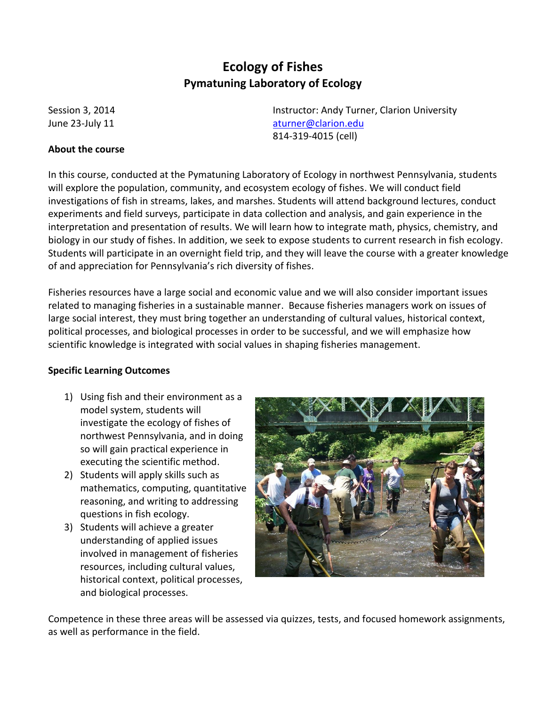# **Ecology of Fishes Pymatuning Laboratory of Ecology**

### **About the course**

Session 3, 2014 **Instructor: Andy Turner, Clarion University** June 23-July 11 [aturner@clarion.edu](mailto:aturner@clarion.edu) 814-319-4015 (cell)

In this course, conducted at the Pymatuning Laboratory of Ecology in northwest Pennsylvania, students will explore the population, community, and ecosystem ecology of fishes. We will conduct field investigations of fish in streams, lakes, and marshes. Students will attend background lectures, conduct experiments and field surveys, participate in data collection and analysis, and gain experience in the interpretation and presentation of results. We will learn how to integrate math, physics, chemistry, and biology in our study of fishes. In addition, we seek to expose students to current research in fish ecology. Students will participate in an overnight field trip, and they will leave the course with a greater knowledge of and appreciation for Pennsylvania's rich diversity of fishes.

Fisheries resources have a large social and economic value and we will also consider important issues related to managing fisheries in a sustainable manner. Because fisheries managers work on issues of large social interest, they must bring together an understanding of cultural values, historical context, political processes, and biological processes in order to be successful, and we will emphasize how scientific knowledge is integrated with social values in shaping fisheries management.

### **Specific Learning Outcomes**

- 1) Using fish and their environment as a model system, students will investigate the ecology of fishes of northwest Pennsylvania, and in doing so will gain practical experience in executing the scientific method.
- 2) Students will apply skills such as mathematics, computing, quantitative reasoning, and writing to addressing questions in fish ecology.
- 3) Students will achieve a greater understanding of applied issues involved in management of fisheries resources, including cultural values, historical context, political processes, and biological processes.



Competence in these three areas will be assessed via quizzes, tests, and focused homework assignments, as well as performance in the field.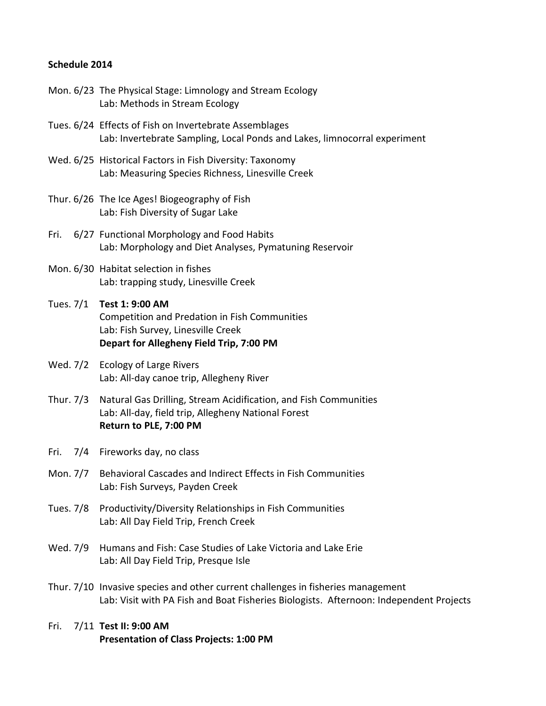## **Schedule 2014**

- Mon. 6/23 The Physical Stage: Limnology and Stream Ecology Lab: Methods in Stream Ecology
- Tues. 6/24 Effects of Fish on Invertebrate Assemblages Lab: Invertebrate Sampling, Local Ponds and Lakes, limnocorral experiment
- Wed. 6/25 Historical Factors in Fish Diversity: Taxonomy Lab: Measuring Species Richness, Linesville Creek
- Thur. 6/26 The Ice Ages! Biogeography of Fish Lab: Fish Diversity of Sugar Lake
- Fri. 6/27 Functional Morphology and Food Habits Lab: Morphology and Diet Analyses, Pymatuning Reservoir
- Mon. 6/30 Habitat selection in fishes Lab: trapping study, Linesville Creek
- Tues. 7/1 **Test 1: 9:00 AM** Competition and Predation in Fish Communities Lab: Fish Survey, Linesville Creek **Depart for Allegheny Field Trip, 7:00 PM**
- Wed. 7/2 Ecology of Large Rivers Lab: All-day canoe trip, Allegheny River
- Thur. 7/3 Natural Gas Drilling, Stream Acidification, and Fish Communities Lab: All-day, field trip, Allegheny National Forest **Return to PLE, 7:00 PM**
- Fri. 7/4 Fireworks day, no class
- Mon. 7/7 Behavioral Cascades and Indirect Effects in Fish Communities Lab: Fish Surveys, Payden Creek
- Tues. 7/8 Productivity/Diversity Relationships in Fish Communities Lab: All Day Field Trip, French Creek
- Wed. 7/9 Humans and Fish: Case Studies of Lake Victoria and Lake Erie Lab: All Day Field Trip, Presque Isle
- Thur. 7/10 Invasive species and other current challenges in fisheries management Lab: Visit with PA Fish and Boat Fisheries Biologists. Afternoon: Independent Projects
- Fri. 7/11 **Test II: 9:00 AM Presentation of Class Projects: 1:00 PM**